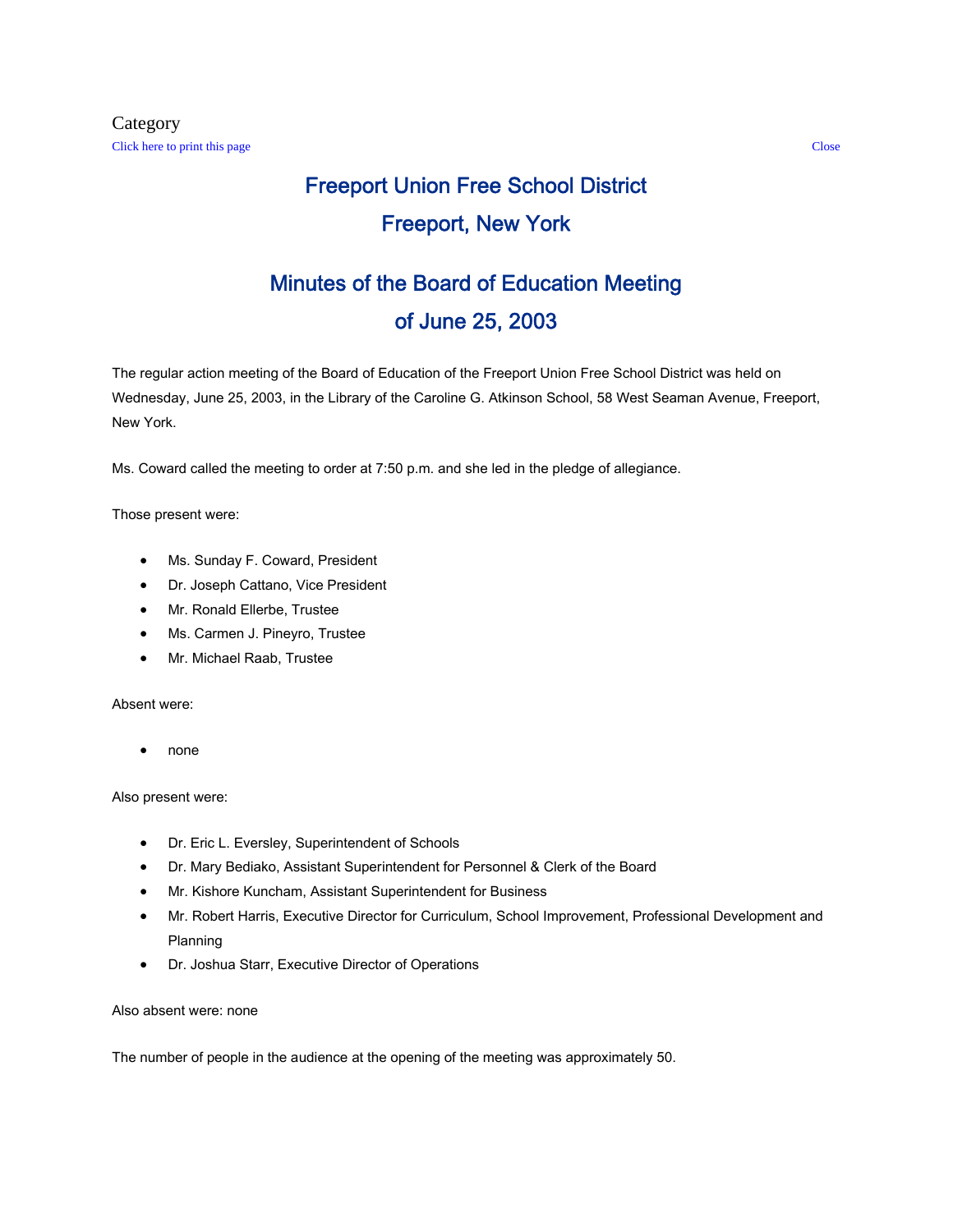# Freeport Union Free School District Freeport, New York

# Minutes of the Board of Education Meeting of June 25, 2003

The regular action meeting of the Board of Education of the Freeport Union Free School District was held on Wednesday, June 25, 2003, in the Library of the Caroline G. Atkinson School, 58 West Seaman Avenue, Freeport, New York.

Ms. Coward called the meeting to order at 7:50 p.m. and she led in the pledge of allegiance.

Those present were:

- Ms. Sunday F. Coward, President
- Dr. Joseph Cattano, Vice President
- Mr. Ronald Ellerbe, Trustee
- Ms. Carmen J. Pineyro, Trustee
- Mr. Michael Raab, Trustee

Absent were:

• none

Also present were:

- Dr. Eric L. Eversley, Superintendent of Schools
- Dr. Mary Bediako, Assistant Superintendent for Personnel & Clerk of the Board
- Mr. Kishore Kuncham, Assistant Superintendent for Business
- Mr. Robert Harris, Executive Director for Curriculum, School Improvement, Professional Development and Planning
- Dr. Joshua Starr, Executive Director of Operations

Also absent were: none

The number of people in the audience at the opening of the meeting was approximately 50.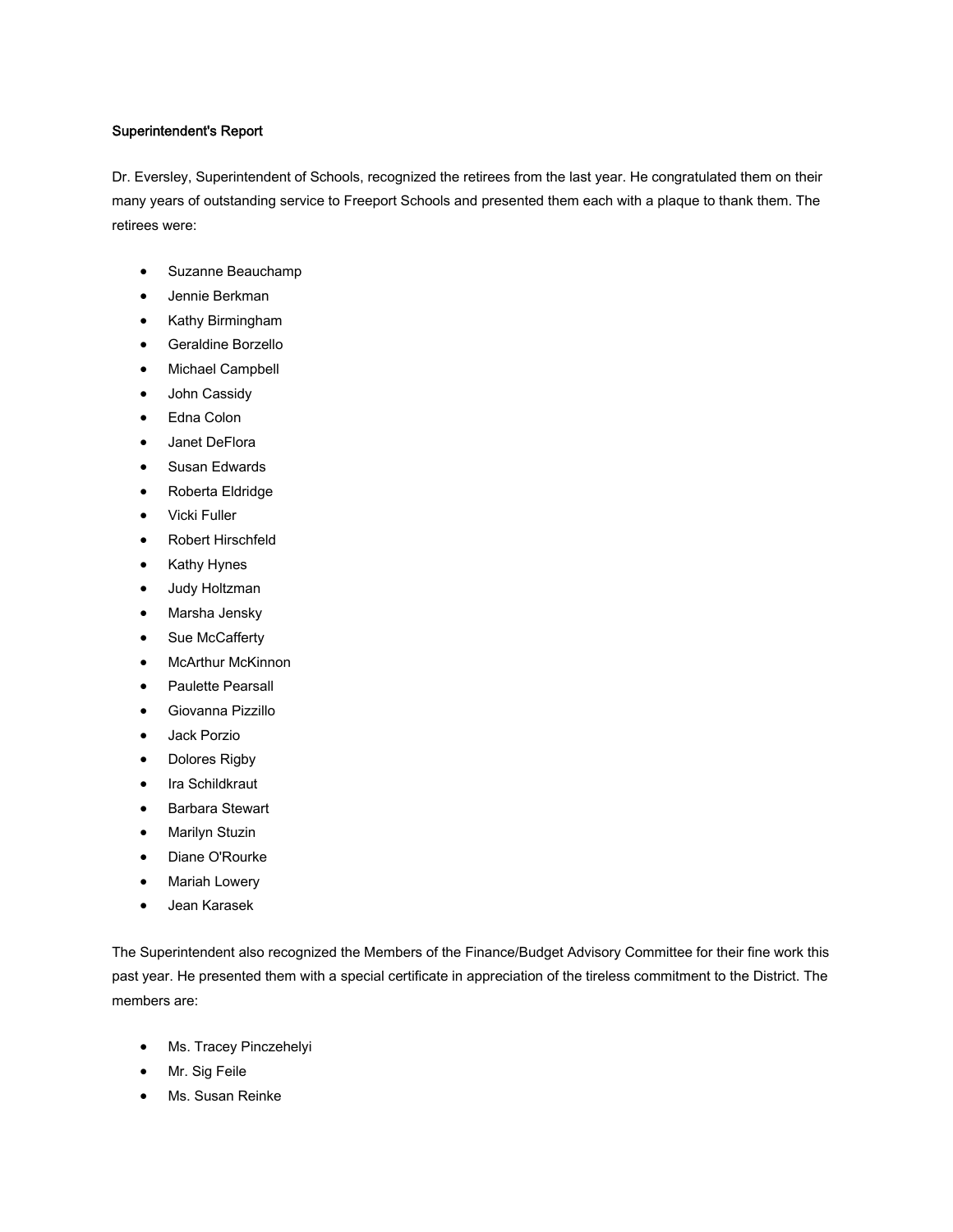#### Superintendent's Report

Dr. Eversley, Superintendent of Schools, recognized the retirees from the last year. He congratulated them on their many years of outstanding service to Freeport Schools and presented them each with a plaque to thank them. The retirees were:

- Suzanne Beauchamp
- Jennie Berkman
- Kathy Birmingham
- Geraldine Borzello
- Michael Campbell
- John Cassidy
- Edna Colon
- Janet DeFlora
- Susan Edwards
- Roberta Eldridge
- Vicki Fuller
- Robert Hirschfeld
- Kathy Hynes
- Judy Holtzman
- Marsha Jensky
- Sue McCafferty
- McArthur McKinnon
- Paulette Pearsall
- Giovanna Pizzillo
- Jack Porzio
- Dolores Rigby
- Ira Schildkraut
- Barbara Stewart
- Marilyn Stuzin
- Diane O'Rourke
- Mariah Lowery
- Jean Karasek

The Superintendent also recognized the Members of the Finance/Budget Advisory Committee for their fine work this past year. He presented them with a special certificate in appreciation of the tireless commitment to the District. The members are:

- Ms. Tracey Pinczehelyi
- Mr. Sig Feile
- Ms. Susan Reinke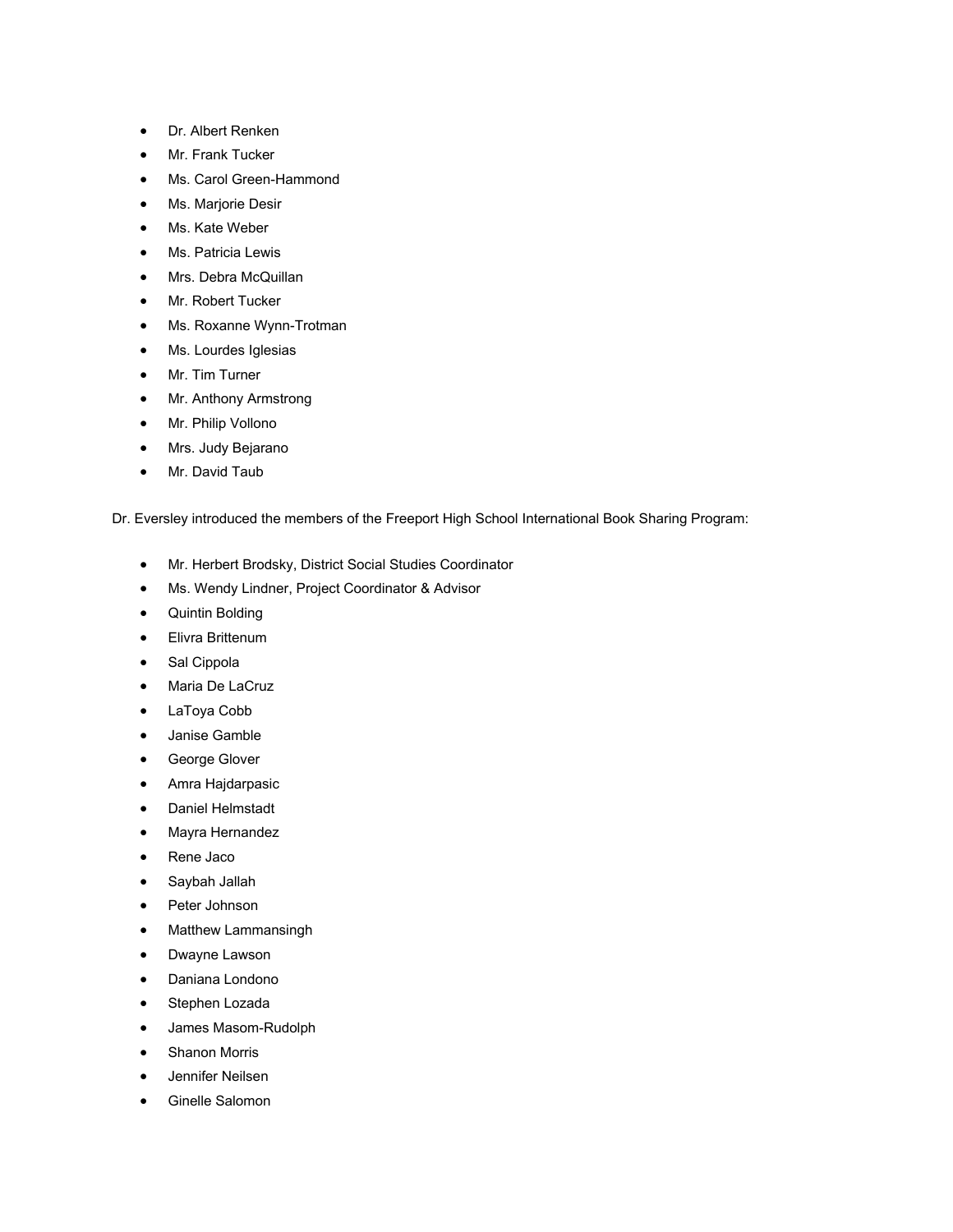- Dr. Albert Renken
- Mr. Frank Tucker
- Ms. Carol Green-Hammond
- Ms. Marjorie Desir
- Ms. Kate Weber
- Ms. Patricia Lewis
- Mrs. Debra McQuillan
- Mr. Robert Tucker
- Ms. Roxanne Wynn-Trotman
- Ms. Lourdes Iglesias
- Mr. Tim Turner
- Mr. Anthony Armstrong
- Mr. Philip Vollono
- Mrs. Judy Bejarano
- Mr. David Taub

Dr. Eversley introduced the members of the Freeport High School International Book Sharing Program:

- Mr. Herbert Brodsky, District Social Studies Coordinator
- Ms. Wendy Lindner, Project Coordinator & Advisor
- Quintin Bolding
- Elivra Brittenum
- Sal Cippola
- Maria De LaCruz
- LaToya Cobb
- Janise Gamble
- George Glover
- Amra Hajdarpasic
- Daniel Helmstadt
- Mayra Hernandez
- Rene Jaco
- Saybah Jallah
- Peter Johnson
- Matthew Lammansingh
- Dwayne Lawson
- Daniana Londono
- Stephen Lozada
- James Masom-Rudolph
- Shanon Morris
- Jennifer Neilsen
- Ginelle Salomon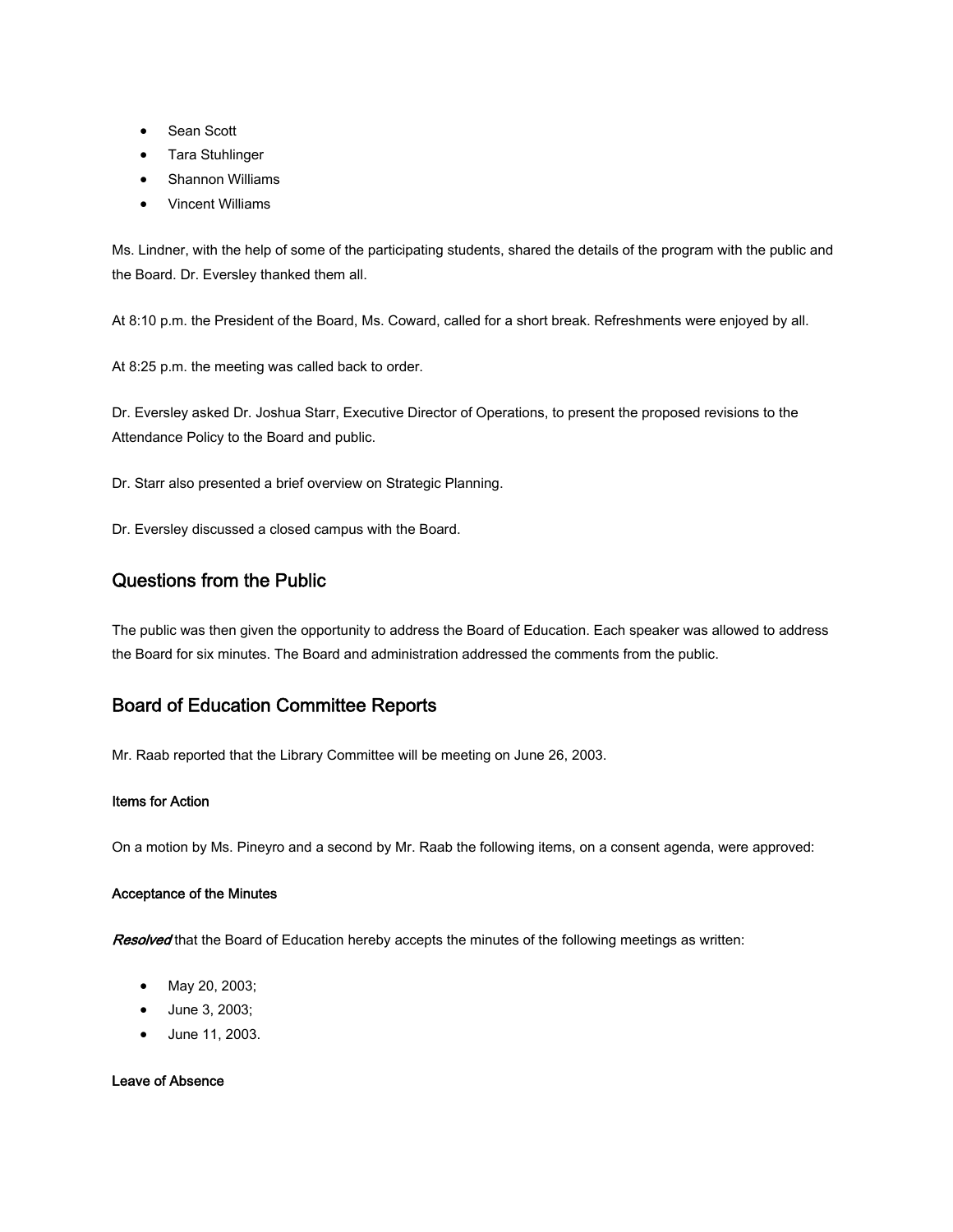- Sean Scott
- Tara Stuhlinger
- Shannon Williams
- Vincent Williams

Ms. Lindner, with the help of some of the participating students, shared the details of the program with the public and the Board. Dr. Eversley thanked them all.

At 8:10 p.m. the President of the Board, Ms. Coward, called for a short break. Refreshments were enjoyed by all.

At 8:25 p.m. the meeting was called back to order.

Dr. Eversley asked Dr. Joshua Starr, Executive Director of Operations, to present the proposed revisions to the Attendance Policy to the Board and public.

Dr. Starr also presented a brief overview on Strategic Planning.

Dr. Eversley discussed a closed campus with the Board.

# Questions from the Public

The public was then given the opportunity to address the Board of Education. Each speaker was allowed to address the Board for six minutes. The Board and administration addressed the comments from the public.

# Board of Education Committee Reports

Mr. Raab reported that the Library Committee will be meeting on June 26, 2003.

#### Items for Action

On a motion by Ms. Pineyro and a second by Mr. Raab the following items, on a consent agenda, were approved:

#### Acceptance of the Minutes

Resolved that the Board of Education hereby accepts the minutes of the following meetings as written:

- May 20, 2003;
- June 3, 2003;
- June 11, 2003.

#### Leave of Absence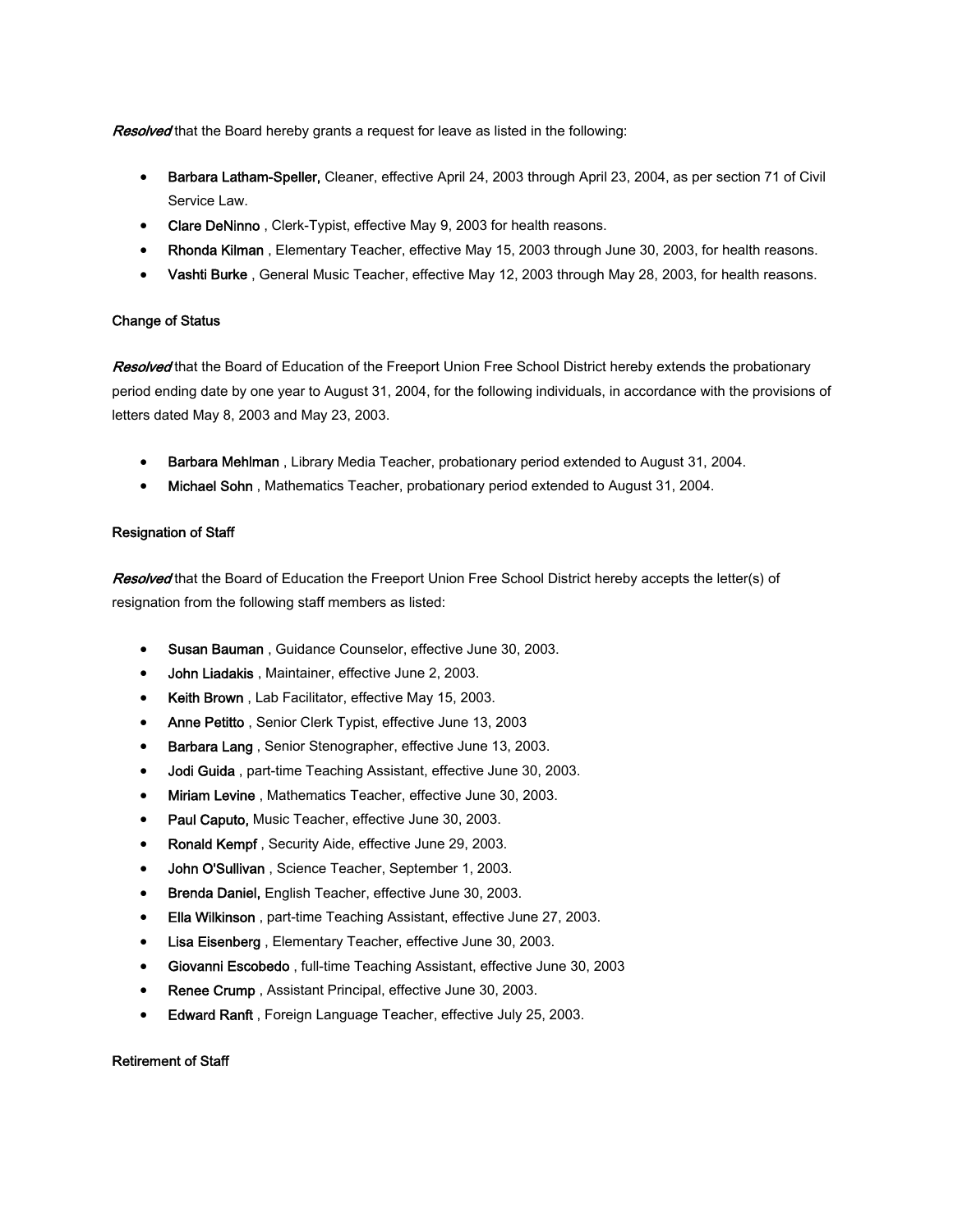**Resolved** that the Board hereby grants a request for leave as listed in the following:

- Barbara Latham-Speller, Cleaner, effective April 24, 2003 through April 23, 2004, as per section 71 of Civil Service Law.
- Clare DeNinno, Clerk-Typist, effective May 9, 2003 for health reasons.
- Rhonda Kilman , Elementary Teacher, effective May 15, 2003 through June 30, 2003, for health reasons.
- Vashti Burke, General Music Teacher, effective May 12, 2003 through May 28, 2003, for health reasons.

## Change of Status

Resolved that the Board of Education of the Freeport Union Free School District hereby extends the probationary period ending date by one year to August 31, 2004, for the following individuals, in accordance with the provisions of letters dated May 8, 2003 and May 23, 2003.

- Barbara Mehlman , Library Media Teacher, probationary period extended to August 31, 2004.
- Michael Sohn , Mathematics Teacher, probationary period extended to August 31, 2004.

## Resignation of Staff

Resolved that the Board of Education the Freeport Union Free School District hereby accepts the letter(s) of resignation from the following staff members as listed:

- Susan Bauman , Guidance Counselor, effective June 30, 2003.
- John Liadakis, Maintainer, effective June 2, 2003.
- Keith Brown, Lab Facilitator, effective May 15, 2003.
- Anne Petitto, Senior Clerk Typist, effective June 13, 2003
- Barbara Lang, Senior Stenographer, effective June 13, 2003.
- Jodi Guida , part-time Teaching Assistant, effective June 30, 2003.
- Miriam Levine , Mathematics Teacher, effective June 30, 2003.
- Paul Caputo, Music Teacher, effective June 30, 2003.
- Ronald Kempf, Security Aide, effective June 29, 2003.
- John O'Sullivan , Science Teacher, September 1, 2003.
- Brenda Daniel, English Teacher, effective June 30, 2003.
- Ella Wilkinson , part-time Teaching Assistant, effective June 27, 2003.
- Lisa Eisenberg , Elementary Teacher, effective June 30, 2003.
- Giovanni Escobedo , full-time Teaching Assistant, effective June 30, 2003
- Renee Crump, Assistant Principal, effective June 30, 2003.
- **Edward Ranft**, Foreign Language Teacher, effective July 25, 2003.

## Retirement of Staff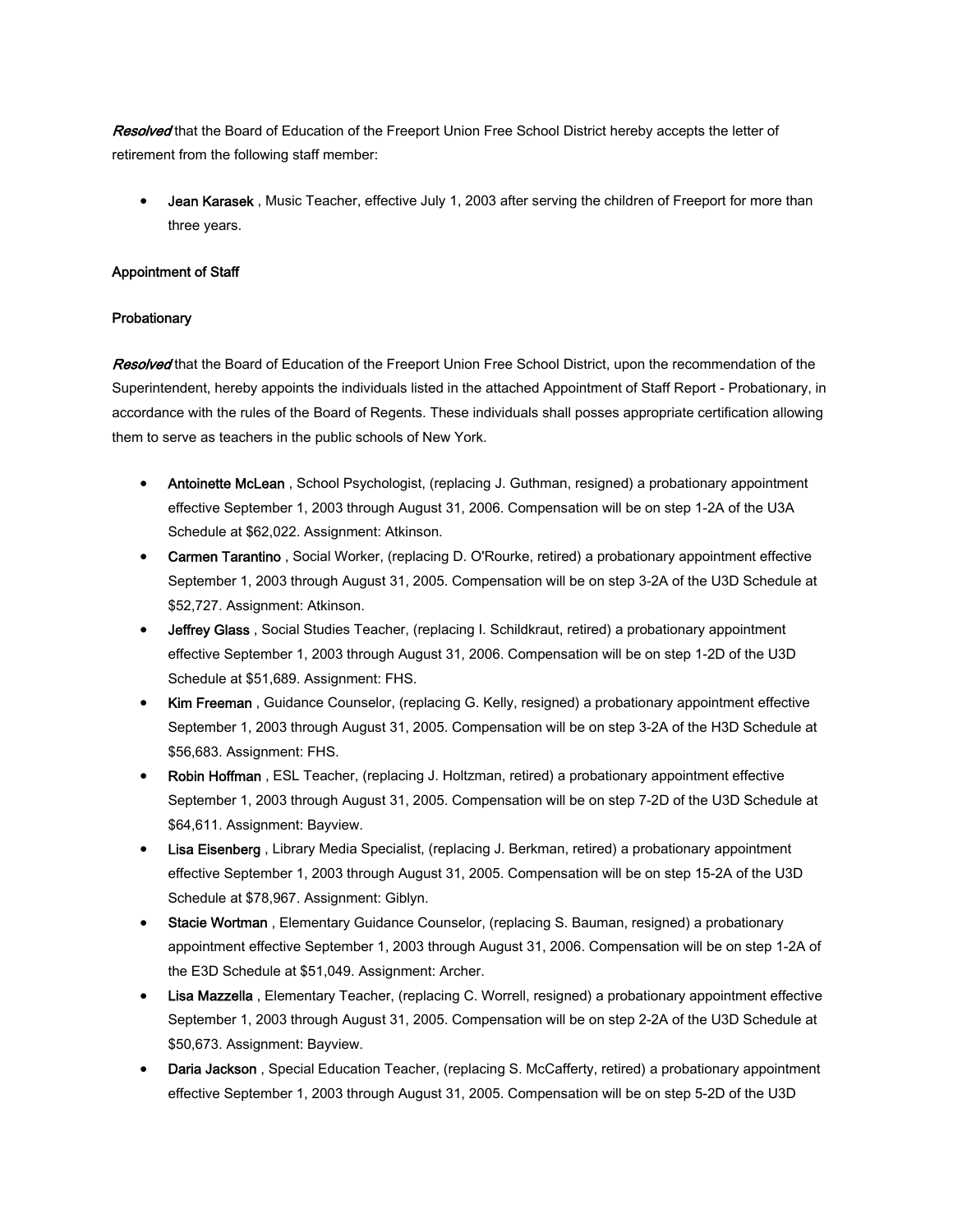Resolved that the Board of Education of the Freeport Union Free School District hereby accepts the letter of retirement from the following staff member:

Jean Karasek, Music Teacher, effective July 1, 2003 after serving the children of Freeport for more than three years.

#### Appointment of Staff

## **Probationary**

Resolved that the Board of Education of the Freeport Union Free School District, upon the recommendation of the Superintendent, hereby appoints the individuals listed in the attached Appointment of Staff Report - Probationary, in accordance with the rules of the Board of Regents. These individuals shall posses appropriate certification allowing them to serve as teachers in the public schools of New York.

- Antoinette McLean, School Psychologist, (replacing J. Guthman, resigned) a probationary appointment effective September 1, 2003 through August 31, 2006. Compensation will be on step 1-2A of the U3A Schedule at \$62,022. Assignment: Atkinson.
- Carmen Tarantino , Social Worker, (replacing D. O'Rourke, retired) a probationary appointment effective September 1, 2003 through August 31, 2005. Compensation will be on step 3-2A of the U3D Schedule at \$52,727. Assignment: Atkinson.
- Jeffrey Glass, Social Studies Teacher, (replacing I. Schildkraut, retired) a probationary appointment effective September 1, 2003 through August 31, 2006. Compensation will be on step 1-2D of the U3D Schedule at \$51,689. Assignment: FHS.
- Kim Freeman, Guidance Counselor, (replacing G. Kelly, resigned) a probationary appointment effective September 1, 2003 through August 31, 2005. Compensation will be on step 3-2A of the H3D Schedule at \$56,683. Assignment: FHS.
- Robin Hoffman , ESL Teacher, (replacing J. Holtzman, retired) a probationary appointment effective September 1, 2003 through August 31, 2005. Compensation will be on step 7-2D of the U3D Schedule at \$64,611. Assignment: Bayview.
- **Lisa Eisenberg**, Library Media Specialist, (replacing J. Berkman, retired) a probationary appointment effective September 1, 2003 through August 31, 2005. Compensation will be on step 15-2A of the U3D Schedule at \$78,967. Assignment: Giblyn.
- Stacie Wortman , Elementary Guidance Counselor, (replacing S. Bauman, resigned) a probationary appointment effective September 1, 2003 through August 31, 2006. Compensation will be on step 1-2A of the E3D Schedule at \$51,049. Assignment: Archer.
- Lisa Mazzella, Elementary Teacher, (replacing C. Worrell, resigned) a probationary appointment effective September 1, 2003 through August 31, 2005. Compensation will be on step 2-2A of the U3D Schedule at \$50,673. Assignment: Bayview.
- Daria Jackson, Special Education Teacher, (replacing S. McCafferty, retired) a probationary appointment effective September 1, 2003 through August 31, 2005. Compensation will be on step 5-2D of the U3D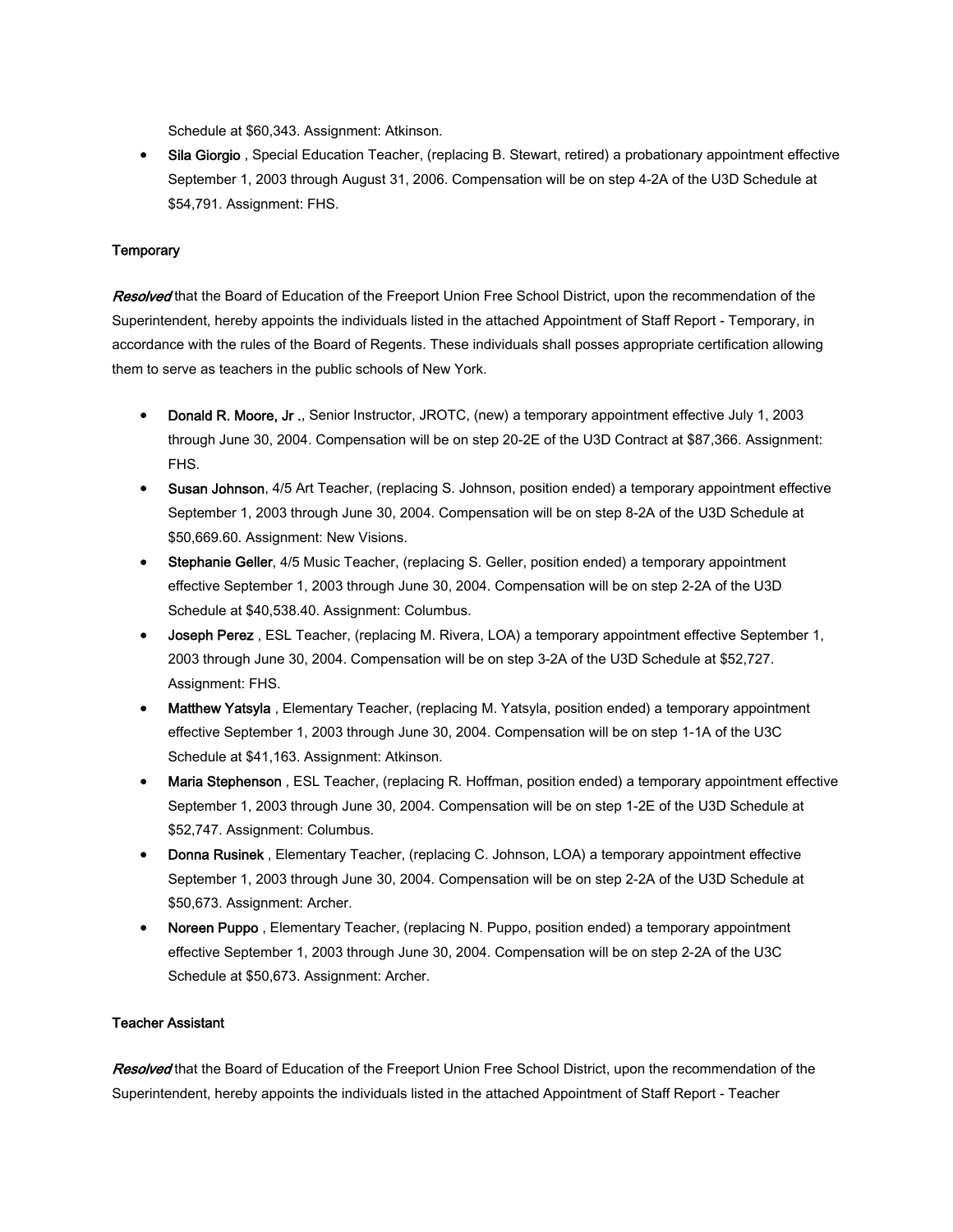Schedule at \$60,343. Assignment: Atkinson.

• Sila Giorgio, Special Education Teacher, (replacing B. Stewart, retired) a probationary appointment effective September 1, 2003 through August 31, 2006. Compensation will be on step 4-2A of the U3D Schedule at \$54,791. Assignment: FHS.

#### **Temporary**

Resolved that the Board of Education of the Freeport Union Free School District, upon the recommendation of the Superintendent, hereby appoints the individuals listed in the attached Appointment of Staff Report - Temporary, in accordance with the rules of the Board of Regents. These individuals shall posses appropriate certification allowing them to serve as teachers in the public schools of New York.

- Donald R. Moore, Jr., Senior Instructor, JROTC, (new) a temporary appointment effective July 1, 2003 through June 30, 2004. Compensation will be on step 20-2E of the U3D Contract at \$87,366. Assignment: FHS.
- Susan Johnson, 4/5 Art Teacher, (replacing S. Johnson, position ended) a temporary appointment effective September 1, 2003 through June 30, 2004. Compensation will be on step 8-2A of the U3D Schedule at \$50,669.60. Assignment: New Visions.
- Stephanie Geller, 4/5 Music Teacher, (replacing S. Geller, position ended) a temporary appointment effective September 1, 2003 through June 30, 2004. Compensation will be on step 2-2A of the U3D Schedule at \$40,538.40. Assignment: Columbus.
- Joseph Perez , ESL Teacher, (replacing M. Rivera, LOA) a temporary appointment effective September 1, 2003 through June 30, 2004. Compensation will be on step 3-2A of the U3D Schedule at \$52,727. Assignment: FHS.
- Matthew Yatsyla , Elementary Teacher, (replacing M. Yatsyla, position ended) a temporary appointment effective September 1, 2003 through June 30, 2004. Compensation will be on step 1-1A of the U3C Schedule at \$41,163. Assignment: Atkinson.
- Maria Stephenson, ESL Teacher, (replacing R. Hoffman, position ended) a temporary appointment effective September 1, 2003 through June 30, 2004. Compensation will be on step 1-2E of the U3D Schedule at \$52,747. Assignment: Columbus.
- Donna Rusinek, Elementary Teacher, (replacing C. Johnson, LOA) a temporary appointment effective September 1, 2003 through June 30, 2004. Compensation will be on step 2-2A of the U3D Schedule at \$50,673. Assignment: Archer.
- Noreen Puppo , Elementary Teacher, (replacing N. Puppo, position ended) a temporary appointment effective September 1, 2003 through June 30, 2004. Compensation will be on step 2-2A of the U3C Schedule at \$50,673. Assignment: Archer.

#### Teacher Assistant

Resolved that the Board of Education of the Freeport Union Free School District, upon the recommendation of the Superintendent, hereby appoints the individuals listed in the attached Appointment of Staff Report - Teacher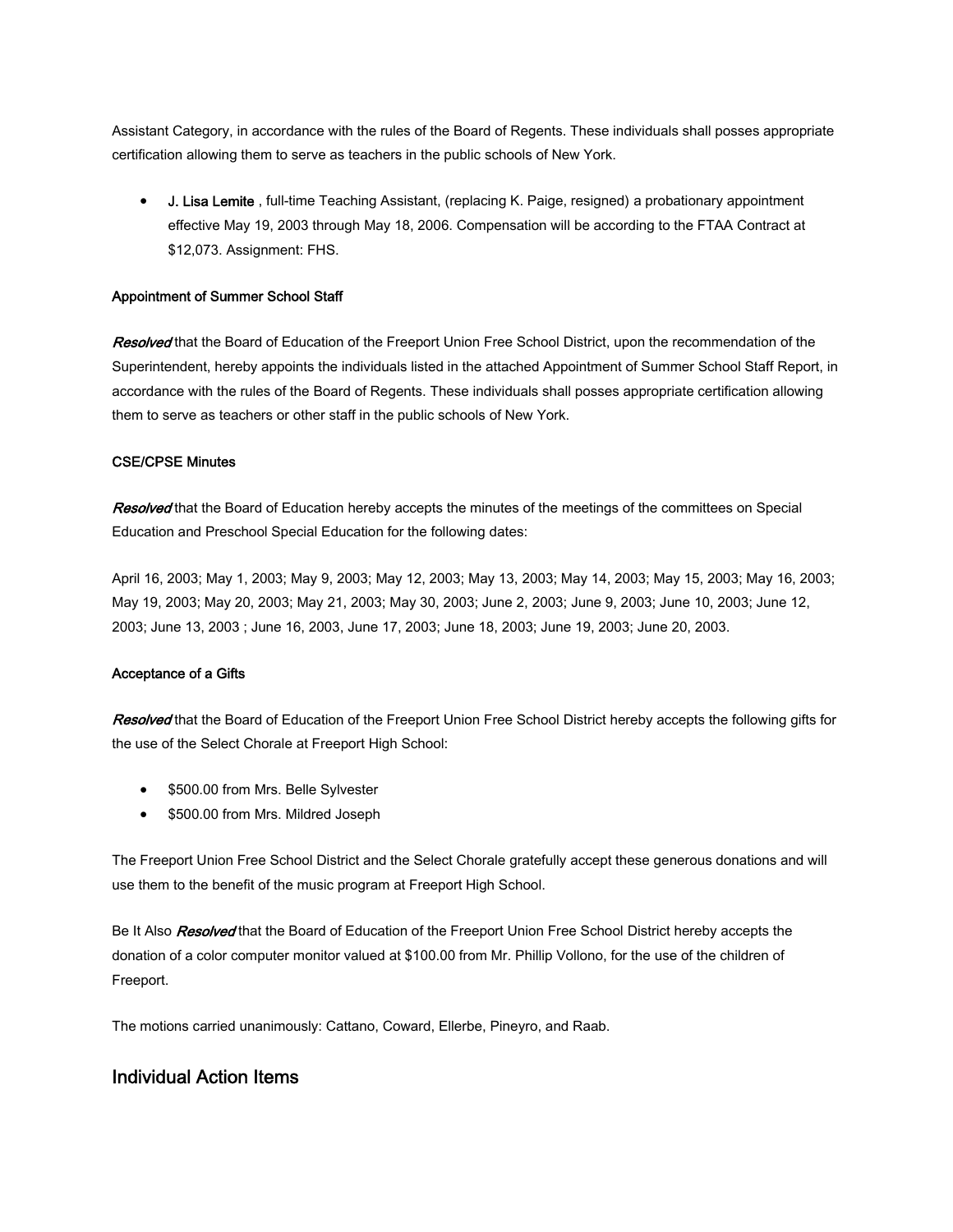Assistant Category, in accordance with the rules of the Board of Regents. These individuals shall posses appropriate certification allowing them to serve as teachers in the public schools of New York.

• J. Lisa Lemite , full-time Teaching Assistant, (replacing K. Paige, resigned) a probationary appointment effective May 19, 2003 through May 18, 2006. Compensation will be according to the FTAA Contract at \$12,073. Assignment: FHS.

## Appointment of Summer School Staff

Resolved that the Board of Education of the Freeport Union Free School District, upon the recommendation of the Superintendent, hereby appoints the individuals listed in the attached Appointment of Summer School Staff Report, in accordance with the rules of the Board of Regents. These individuals shall posses appropriate certification allowing them to serve as teachers or other staff in the public schools of New York.

#### CSE/CPSE Minutes

Resolved that the Board of Education hereby accepts the minutes of the meetings of the committees on Special Education and Preschool Special Education for the following dates:

April 16, 2003; May 1, 2003; May 9, 2003; May 12, 2003; May 13, 2003; May 14, 2003; May 15, 2003; May 16, 2003; May 19, 2003; May 20, 2003; May 21, 2003; May 30, 2003; June 2, 2003; June 9, 2003; June 10, 2003; June 12, 2003; June 13, 2003 ; June 16, 2003, June 17, 2003; June 18, 2003; June 19, 2003; June 20, 2003.

#### Acceptance of a Gifts

Resolved that the Board of Education of the Freeport Union Free School District hereby accepts the following gifts for the use of the Select Chorale at Freeport High School:

- \$500.00 from Mrs. Belle Sylvester
- \$500.00 from Mrs. Mildred Joseph

The Freeport Union Free School District and the Select Chorale gratefully accept these generous donations and will use them to the benefit of the music program at Freeport High School.

Be It Also Resolved that the Board of Education of the Freeport Union Free School District hereby accepts the donation of a color computer monitor valued at \$100.00 from Mr. Phillip Vollono, for the use of the children of Freeport.

The motions carried unanimously: Cattano, Coward, Ellerbe, Pineyro, and Raab.

# Individual Action Items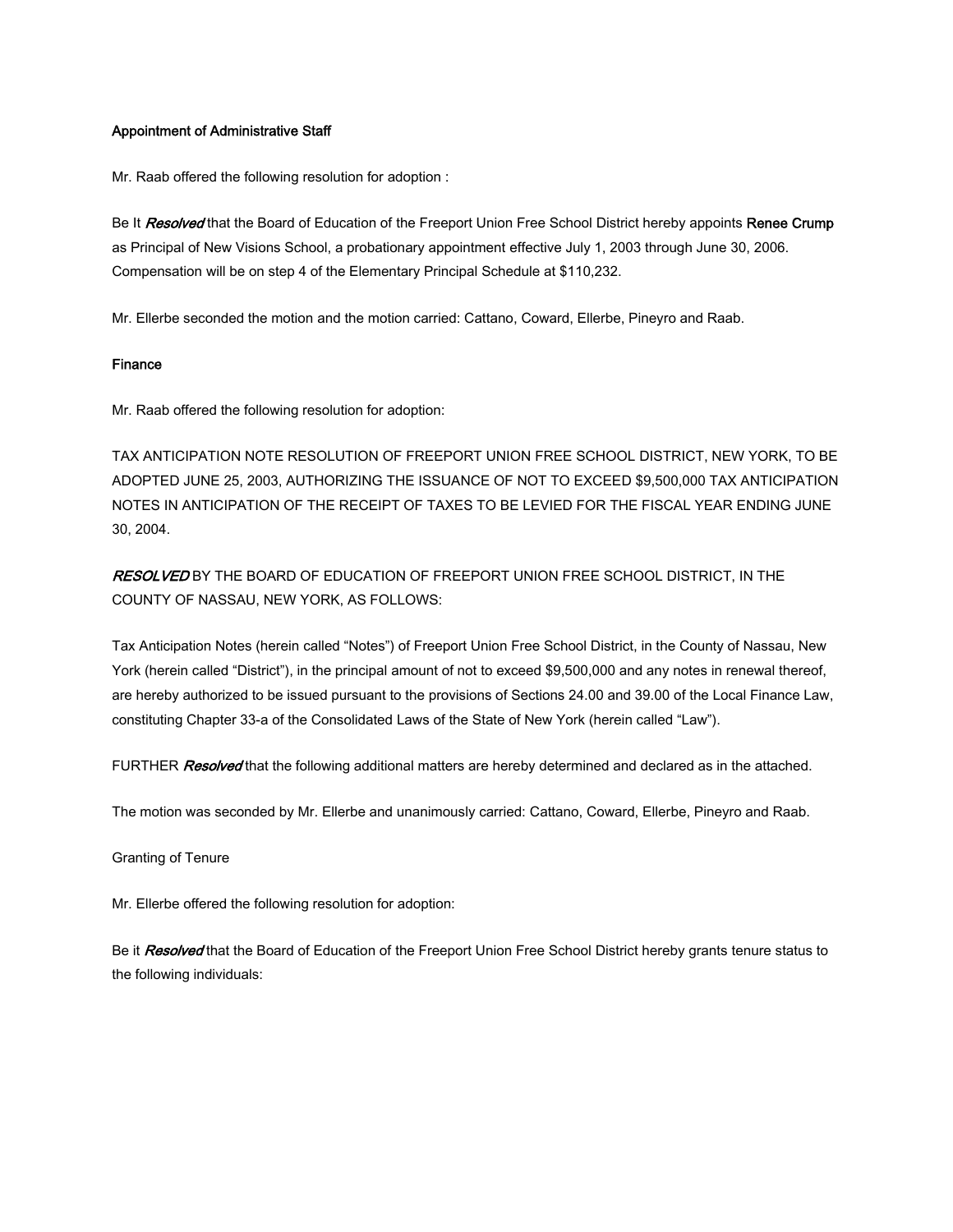#### Appointment of Administrative Staff

Mr. Raab offered the following resolution for adoption :

Be It Resolved that the Board of Education of the Freeport Union Free School District hereby appoints Renee Crump as Principal of New Visions School, a probationary appointment effective July 1, 2003 through June 30, 2006. Compensation will be on step 4 of the Elementary Principal Schedule at \$110,232.

Mr. Ellerbe seconded the motion and the motion carried: Cattano, Coward, Ellerbe, Pineyro and Raab.

#### Finance

Mr. Raab offered the following resolution for adoption:

TAX ANTICIPATION NOTE RESOLUTION OF FREEPORT UNION FREE SCHOOL DISTRICT, NEW YORK, TO BE ADOPTED JUNE 25, 2003, AUTHORIZING THE ISSUANCE OF NOT TO EXCEED \$9,500,000 TAX ANTICIPATION NOTES IN ANTICIPATION OF THE RECEIPT OF TAXES TO BE LEVIED FOR THE FISCAL YEAR ENDING JUNE 30, 2004.

RESOLVED BY THE BOARD OF EDUCATION OF FREEPORT UNION FREE SCHOOL DISTRICT, IN THE COUNTY OF NASSAU, NEW YORK, AS FOLLOWS:

Tax Anticipation Notes (herein called "Notes") of Freeport Union Free School District, in the County of Nassau, New York (herein called "District"), in the principal amount of not to exceed \$9,500,000 and any notes in renewal thereof, are hereby authorized to be issued pursuant to the provisions of Sections 24.00 and 39.00 of the Local Finance Law, constituting Chapter 33-a of the Consolidated Laws of the State of New York (herein called "Law").

FURTHER Resolved that the following additional matters are hereby determined and declared as in the attached.

The motion was seconded by Mr. Ellerbe and unanimously carried: Cattano, Coward, Ellerbe, Pineyro and Raab.

Granting of Tenure

Mr. Ellerbe offered the following resolution for adoption:

Be it Resolved that the Board of Education of the Freeport Union Free School District hereby grants tenure status to the following individuals: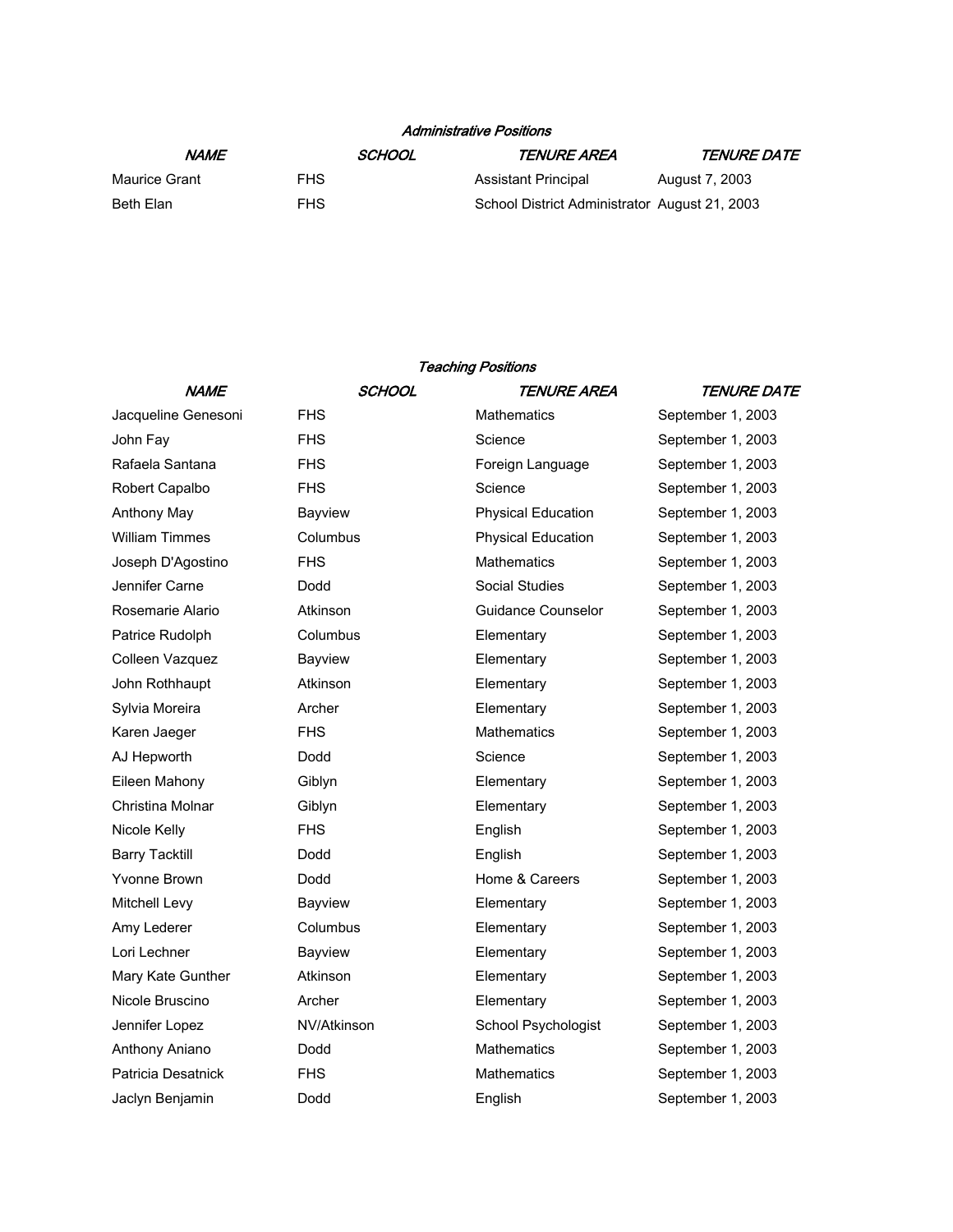# Administrative Positions

| NAME          |      | SCHOOL | TENURE AREA                                   | <i>TENURE DATE</i> |
|---------------|------|--------|-----------------------------------------------|--------------------|
| Maurice Grant | FHS. |        | Assistant Principal                           | August 7, 2003     |
| Beth Elan     | FHS. |        | School District Administrator August 21, 2003 |                    |

## Teaching Positions

| <b>NAME</b>           | <b>SCHOOL</b> | TENURE AREA               | <i><b>TENURE DATE</b></i> |
|-----------------------|---------------|---------------------------|---------------------------|
| Jacqueline Genesoni   | <b>FHS</b>    | Mathematics               | September 1, 2003         |
| John Fay              | <b>FHS</b>    | Science                   | September 1, 2003         |
| Rafaela Santana       | <b>FHS</b>    | Foreign Language          | September 1, 2003         |
| Robert Capalbo        | <b>FHS</b>    | Science                   | September 1, 2003         |
| Anthony May           | Bayview       | <b>Physical Education</b> | September 1, 2003         |
| <b>William Timmes</b> | Columbus      | <b>Physical Education</b> | September 1, 2003         |
| Joseph D'Agostino     | <b>FHS</b>    | <b>Mathematics</b>        | September 1, 2003         |
| Jennifer Carne        | Dodd          | <b>Social Studies</b>     | September 1, 2003         |
| Rosemarie Alario      | Atkinson      | <b>Guidance Counselor</b> | September 1, 2003         |
| Patrice Rudolph       | Columbus      | Elementary                | September 1, 2003         |
| Colleen Vazquez       | Bayview       | Elementary                | September 1, 2003         |
| John Rothhaupt        | Atkinson      | Elementary                | September 1, 2003         |
| Sylvia Moreira        | Archer        | Elementary                | September 1, 2003         |
| Karen Jaeger          | <b>FHS</b>    | <b>Mathematics</b>        | September 1, 2003         |
| AJ Hepworth           | Dodd          | Science                   | September 1, 2003         |
| Eileen Mahony         | Giblyn        | Elementary                | September 1, 2003         |
| Christina Molnar      | Giblyn        | Elementary                | September 1, 2003         |
| Nicole Kelly          | <b>FHS</b>    | English                   | September 1, 2003         |
| <b>Barry Tacktill</b> | Dodd          | English                   | September 1, 2003         |
| Yvonne Brown          | Dodd          | Home & Careers            | September 1, 2003         |
| Mitchell Levy         | Bayview       | Elementary                | September 1, 2003         |
| Amy Lederer           | Columbus      | Elementary                | September 1, 2003         |
| Lori Lechner          | Bayview       | Elementary                | September 1, 2003         |
| Mary Kate Gunther     | Atkinson      | Elementary                | September 1, 2003         |
| Nicole Bruscino       | Archer        | Elementary                | September 1, 2003         |
| Jennifer Lopez        | NV/Atkinson   | School Psychologist       | September 1, 2003         |
| Anthony Aniano        | Dodd          | <b>Mathematics</b>        | September 1, 2003         |
| Patricia Desatnick    | <b>FHS</b>    | Mathematics               | September 1, 2003         |
| Jaclyn Benjamin       | Dodd          | English                   | September 1, 2003         |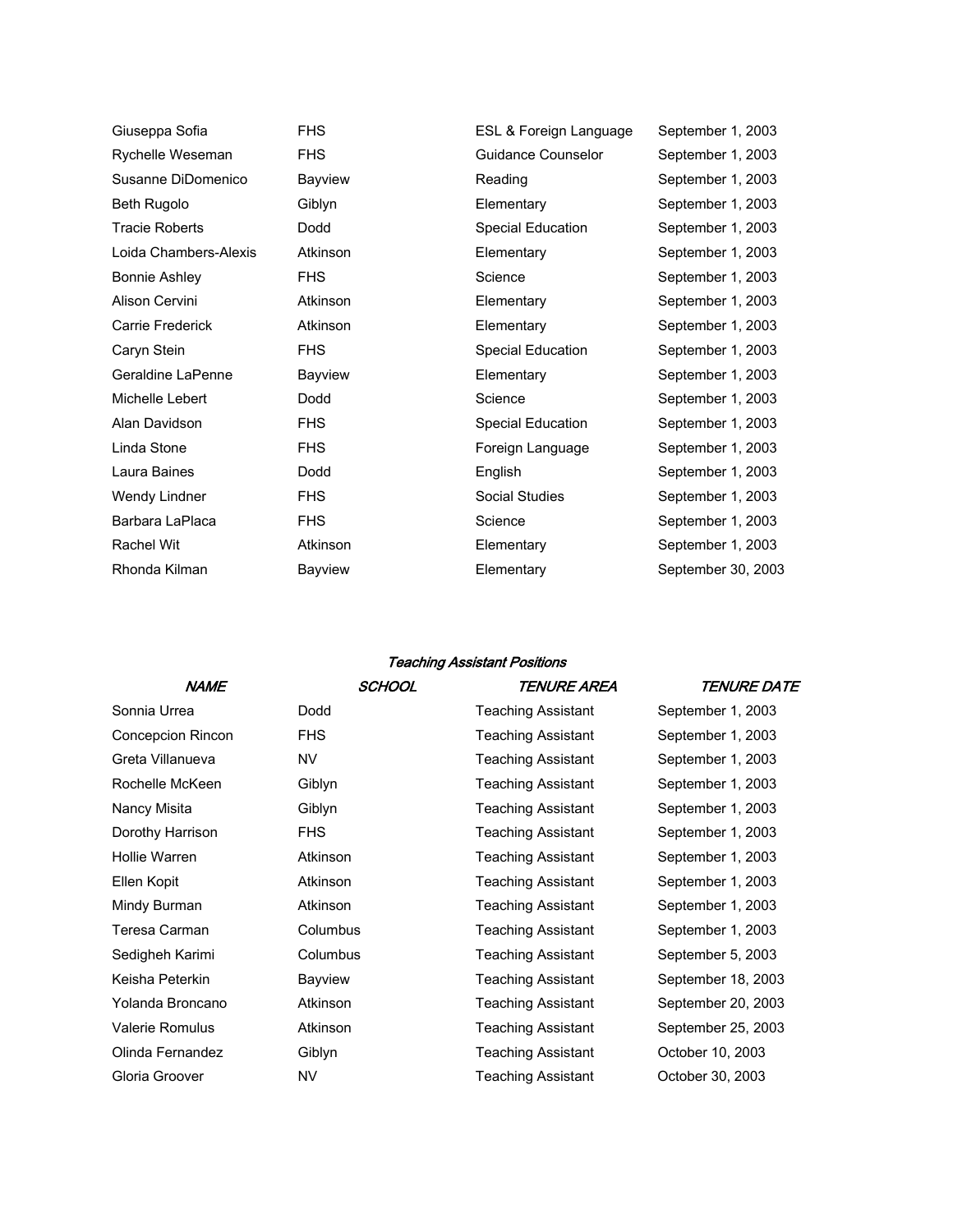| Giuseppa Sofia        | <b>FHS</b> | ESL & Foreign Language | September 1, 2003  |
|-----------------------|------------|------------------------|--------------------|
| Rychelle Weseman      | <b>FHS</b> | Guidance Counselor     | September 1, 2003  |
| Susanne DiDomenico    | Bayview    | Reading                | September 1, 2003  |
| <b>Beth Rugolo</b>    | Giblyn     | Elementary             | September 1, 2003  |
| <b>Tracie Roberts</b> | Dodd       | Special Education      | September 1, 2003  |
| Loida Chambers-Alexis | Atkinson   | Elementary             | September 1, 2003  |
| <b>Bonnie Ashley</b>  | <b>FHS</b> | Science                | September 1, 2003  |
| Alison Cervini        | Atkinson   | Elementary             | September 1, 2003  |
| Carrie Frederick      | Atkinson   | Elementary             | September 1, 2003  |
| Caryn Stein           | <b>FHS</b> | Special Education      | September 1, 2003  |
| Geraldine LaPenne     | Bayview    | Elementary             | September 1, 2003  |
| Michelle Lebert       | Dodd       | Science                | September 1, 2003  |
| Alan Davidson         | <b>FHS</b> | Special Education      | September 1, 2003  |
| Linda Stone           | <b>FHS</b> | Foreign Language       | September 1, 2003  |
| Laura Baines          | Dodd       | English                | September 1, 2003  |
| Wendy Lindner         | <b>FHS</b> | Social Studies         | September 1, 2003  |
| Barbara LaPlaca       | <b>FHS</b> | Science                | September 1, 2003  |
| <b>Rachel Wit</b>     | Atkinson   | Elementary             | September 1, 2003  |
| Rhonda Kilman         | Bayview    | Elementary             | September 30, 2003 |

## Teaching Assistant Positions

| <b>NAME</b>            | <b>SCHOOL</b> | TENURE AREA               | <i><b>TENURE DATE</b></i> |
|------------------------|---------------|---------------------------|---------------------------|
| Sonnia Urrea           | Dodd          | <b>Teaching Assistant</b> | September 1, 2003         |
| Concepcion Rincon      | <b>FHS</b>    | Teaching Assistant        | September 1, 2003         |
| Greta Villanueva       | NV            | <b>Teaching Assistant</b> | September 1, 2003         |
| Rochelle McKeen        | Giblyn        | Teaching Assistant        | September 1, 2003         |
| Nancy Misita           | Giblyn        | <b>Teaching Assistant</b> | September 1, 2003         |
| Dorothy Harrison       | <b>FHS</b>    | <b>Teaching Assistant</b> | September 1, 2003         |
| Hollie Warren          | Atkinson      | Teaching Assistant        | September 1, 2003         |
| Ellen Kopit            | Atkinson      | <b>Teaching Assistant</b> | September 1, 2003         |
| Mindy Burman           | Atkinson      | Teaching Assistant        | September 1, 2003         |
| Teresa Carman          | Columbus      | <b>Teaching Assistant</b> | September 1, 2003         |
| Sedigheh Karimi        | Columbus      | Teaching Assistant        | September 5, 2003         |
| Keisha Peterkin        | Bayview       | Teaching Assistant        | September 18, 2003        |
| Yolanda Broncano       | Atkinson      | Teaching Assistant        | September 20, 2003        |
| <b>Valerie Romulus</b> | Atkinson      | <b>Teaching Assistant</b> | September 25, 2003        |
| Olinda Fernandez       | Giblyn        | Teaching Assistant        | October 10, 2003          |
| Gloria Groover         | NV            | Teaching Assistant        | October 30, 2003          |
|                        |               |                           |                           |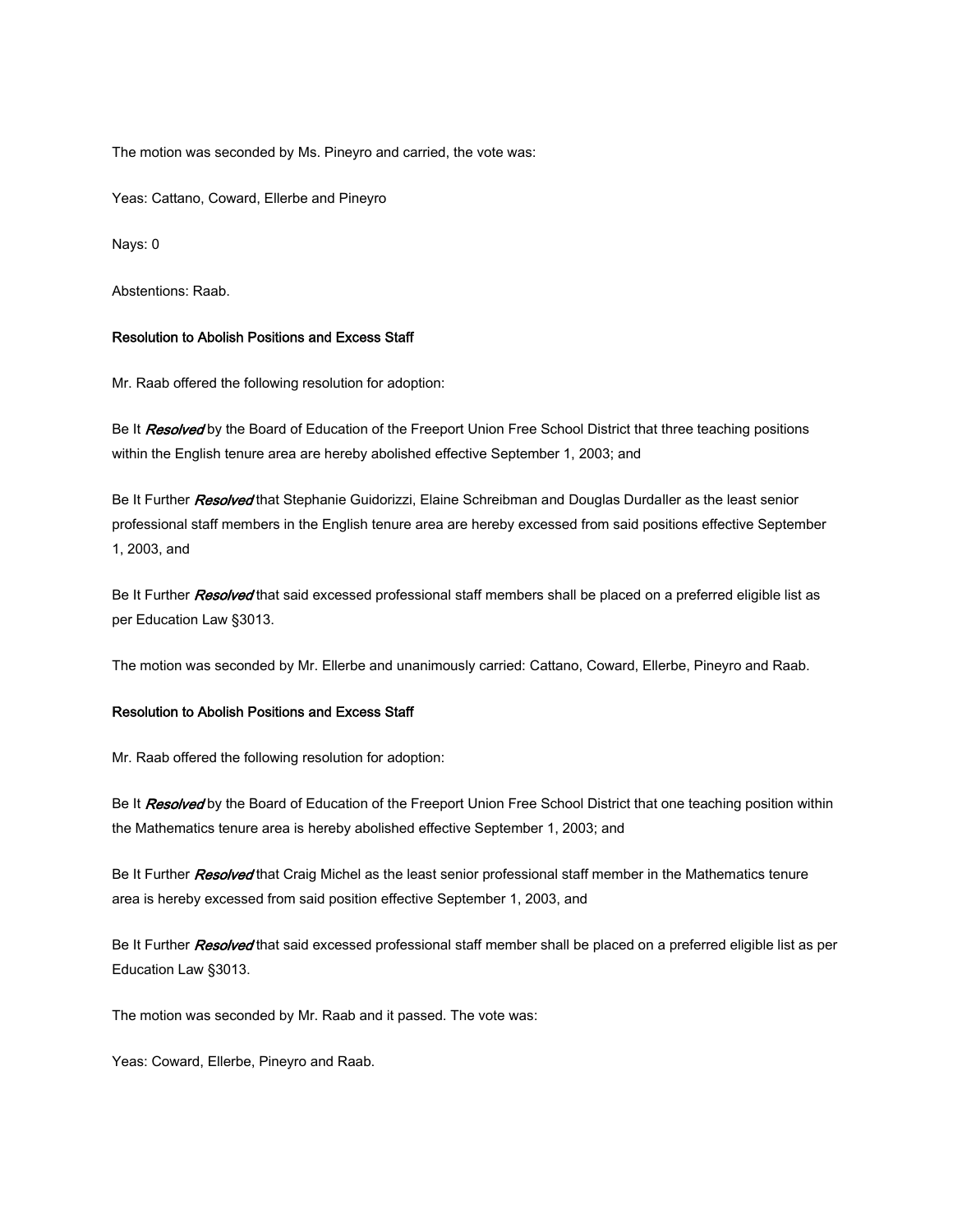The motion was seconded by Ms. Pineyro and carried, the vote was:

Yeas: Cattano, Coward, Ellerbe and Pineyro

Nays: 0

Abstentions: Raab.

#### Resolution to Abolish Positions and Excess Staff

Mr. Raab offered the following resolution for adoption:

Be It Resolved by the Board of Education of the Freeport Union Free School District that three teaching positions within the English tenure area are hereby abolished effective September 1, 2003; and

Be It Further Resolved that Stephanie Guidorizzi, Elaine Schreibman and Douglas Durdaller as the least senior professional staff members in the English tenure area are hereby excessed from said positions effective September 1, 2003, and

Be It Further Resolved that said excessed professional staff members shall be placed on a preferred eligible list as per Education Law §3013.

The motion was seconded by Mr. Ellerbe and unanimously carried: Cattano, Coward, Ellerbe, Pineyro and Raab.

#### Resolution to Abolish Positions and Excess Staff

Mr. Raab offered the following resolution for adoption:

Be It Resolved by the Board of Education of the Freeport Union Free School District that one teaching position within the Mathematics tenure area is hereby abolished effective September 1, 2003; and

Be It Further Resolved that Craig Michel as the least senior professional staff member in the Mathematics tenure area is hereby excessed from said position effective September 1, 2003, and

Be It Further *Resolved* that said excessed professional staff member shall be placed on a preferred eligible list as per Education Law §3013.

The motion was seconded by Mr. Raab and it passed. The vote was:

Yeas: Coward, Ellerbe, Pineyro and Raab.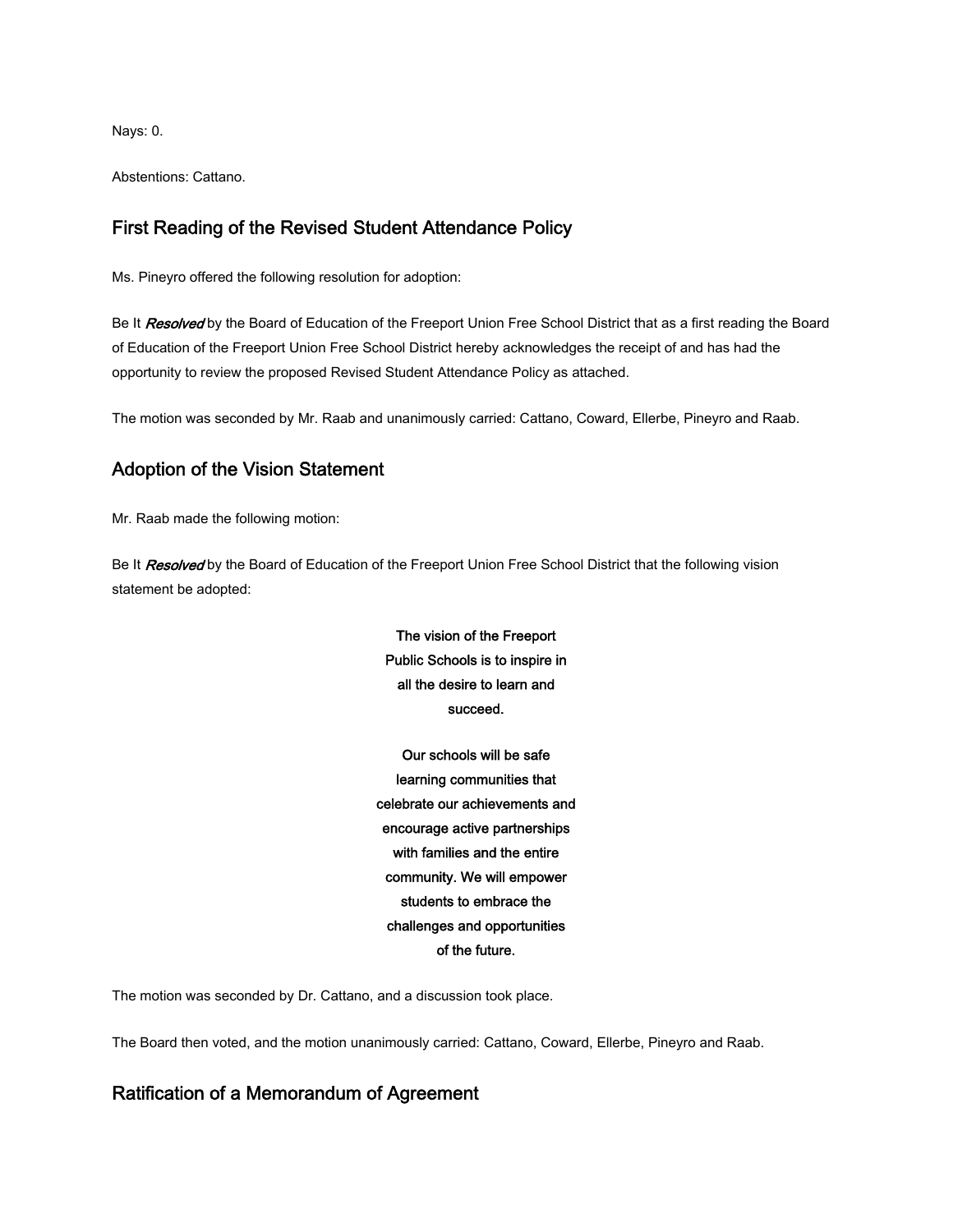Nays: 0.

Abstentions: Cattano.

## First Reading of the Revised Student Attendance Policy

Ms. Pineyro offered the following resolution for adoption:

Be It Resolved by the Board of Education of the Freeport Union Free School District that as a first reading the Board of Education of the Freeport Union Free School District hereby acknowledges the receipt of and has had the opportunity to review the proposed Revised Student Attendance Policy as attached.

The motion was seconded by Mr. Raab and unanimously carried: Cattano, Coward, Ellerbe, Pineyro and Raab.

# Adoption of the Vision Statement

Mr. Raab made the following motion:

Be It Resolved by the Board of Education of the Freeport Union Free School District that the following vision statement be adopted:

> The vision of the Freeport Public Schools is to inspire in all the desire to learn and succeed.

Our schools will be safe learning communities that celebrate our achievements and encourage active partnerships with families and the entire community. We will empower students to embrace the challenges and opportunities of the future.

The motion was seconded by Dr. Cattano, and a discussion took place.

The Board then voted, and the motion unanimously carried: Cattano, Coward, Ellerbe, Pineyro and Raab.

# Ratification of a Memorandum of Agreement